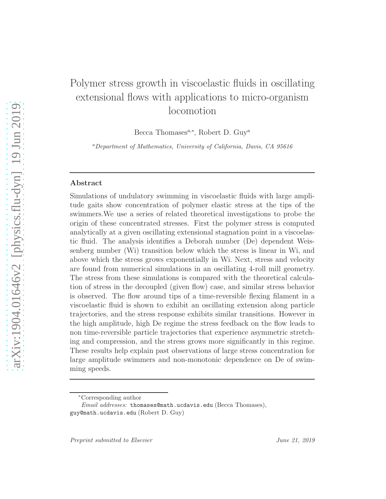# Polymer stress growth in viscoelastic fluids in oscillating extensional flows with applications to micro-organism locomotion

Becca Thomases<sup>a,\*</sup>, Robert D. Guy<sup>a</sup>

<sup>a</sup>Department of Mathematics, University of California, Davis, CA 95616

## Abstract

Simulations of undulatory swimming in viscoelastic fluids with large amplitude gaits show concentration of polymer elastic stress at the tips of the swimmers.We use a series of related theoretical investigations to probe the origin of these concentrated stresses. First the polymer stress is computed analytically at a given oscillating extensional stagnation point in a viscoelastic fluid. The analysis identifies a Deborah number (De) dependent Weissenberg number (Wi) transition below which the stress is linear in Wi, and above which the stress grows exponentially in Wi. Next, stress and velocity are found from numerical simulations in an oscillating 4-roll mill geometry. The stress from these simulations is compared with the theoretical calculation of stress in the decoupled (given flow) case, and similar stress behavior is observed. The flow around tips of a time-reversible flexing filament in a viscoelastic fluid is shown to exhibit an oscillating extension along particle trajectories, and the stress response exhibits similar transitions. However in the high amplitude, high De regime the stress feedback on the flow leads to non time-reversible particle trajectories that experience asymmetric stretching and compression, and the stress grows more significantly in this regime. These results help explain past observations of large stress concentration for large amplitude swimmers and non-monotonic dependence on De of swimming speeds.

<sup>∗</sup>Corresponding author

Email addresses: thomases@math.ucdavis.edu (Becca Thomases), guy@math.ucdavis.edu (Robert D. Guy)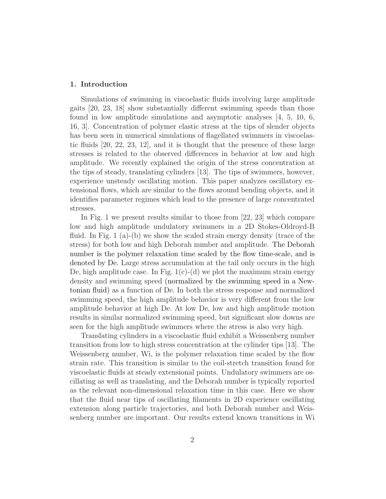## 1. Introduction

Simulations of swimming in viscoelastic fluids involving large amplitude gaits [20, 23, 18] show substantially different swimming speeds than those found in low amplitude simulations and asymptotic analyses [4, 5, 10, 6, 16, 3]. Concentration of polymer elastic stress at the tips of slender objects has been seen in numerical simulations of flagellated swimmers in viscoelastic fluids [20, 22, 23, 12], and it is thought that the presence of these large stresses is related to the observed differences in behavior at low and high amplitude. We recently explained the origin of the stress concentration at the tips of steady, translating cylinders [13]. The tips of swimmers, however, experience unsteady oscillating motion. This paper analyzes oscillatory extensional flows, which are similar to the flows around bending objects, and it identifies parameter regimes which lead to the presence of large concentrated stresses.

In Fig. 1 we present results similar to those from [22, 23] which compare low and high amplitude undulatory swimmers in a 2D Stokes-Oldroyd-B fluid. In Fig. 1 (a)-(b) we show the scaled strain energy density (trace of the stress) for both low and high Deborah number and amplitude. The Deborah number is the polymer relaxation time scaled by the flow time-scale, and is denoted by De. Large stress accumulation at the tail only occurs in the high De, high amplitude case. In Fig.  $1(c)$ -(d) we plot the maximum strain energy density and swimming speed (normalized by the swimming speed in a Newtonian fluid) as a function of De. In both the stress response and normalized swimming speed, the high amplitude behavior is very different from the low amplitude behavior at high De. At low De, low and high amplitude motion results in similar normalized swimming speed, but significant slow downs are seen for the high amplitude swimmers where the stress is also very high.

Translating cylinders in a viscoelastic fluid exhibit a Weissenberg number transition from low to high stress concentration at the cylinder tips [13]. The Weissenberg number, Wi, is the polymer relaxation time scaled by the flow strain rate. This transition is similar to the coil-stretch transition found for viscoelastic fluids at steady extensional points. Undulatory swimmers are oscillating as well as translating, and the Deborah number is typically reported as the relevant non-dimensional relaxation time in this case. Here we show that the fluid near tips of oscillating filaments in 2D experience oscillating extension along particle trajectories, and both Deborah number and Weissenberg number are important. Our results extend known transitions in Wi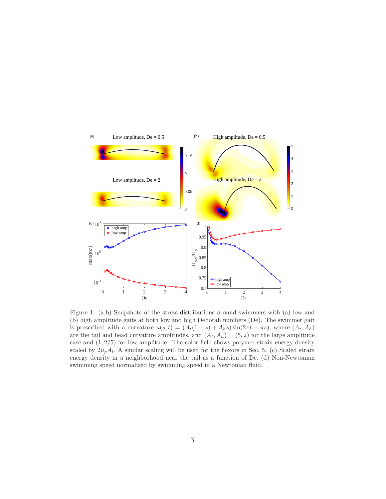

Figure 1: (a,b) Snapshots of the stress distributions around swimmers with (a) low and (b) high amplitude gaits at both low and high Deborah numbers (De). The swimmer gait is prescribed with a curvature  $\kappa(s,t) = (A_t(1-s) + A_h s) \sin(2\pi t + \pi s)$ , where  $(A_t, A_h)$ are the tail and head curvature amplitudes, and  $(A_t, A_h) = (5, 2)$  for the large amplitude case and  $(1, 2/5)$  for low amplitude. The color field shows polymer strain energy density scaled by  $2\mu_p A_t$ . A similar scaling will be used for the flexors in Sec. 5. (c) Scaled strain energy density in a neighborhood near the tail as a function of De. (d) Non-Newtonian swimming speed normalized by swimming speed in a Newtonian fluid.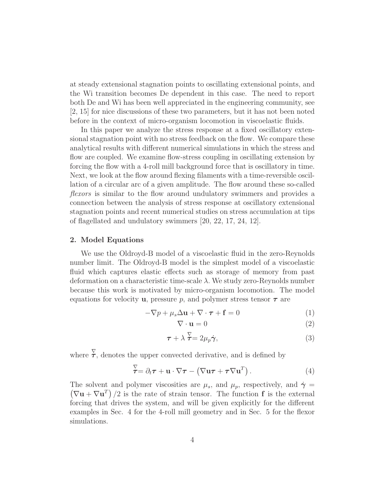at steady extensional stagnation points to oscillating extensional points, and the Wi transition becomes De dependent in this case. The need to report both De and Wi has been well appreciated in the engineering community, see [2, 15] for nice discussions of these two parameters, but it has not been noted before in the context of micro-organism locomotion in viscoelastic fluids.

In this paper we analyze the stress response at a fixed oscillatory extensional stagnation point with no stress feedback on the flow. We compare these analytical results with different numerical simulations in which the stress and flow are coupled. We examine flow-stress coupling in oscillating extension by forcing the flow with a 4-roll mill background force that is oscillatory in time. Next, we look at the flow around flexing filaments with a time-reversible oscillation of a circular arc of a given amplitude. The flow around these so-called flexors is similar to the flow around undulatory swimmers and provides a connection between the analysis of stress response at oscillatory extensional stagnation points and recent numerical studies on stress accumulation at tips of flagellated and undulatory swimmers [20, 22, 17, 24, 12].

## 2. Model Equations

We use the Oldroyd-B model of a viscoelastic fluid in the zero-Reynolds number limit. The Oldroyd-B model is the simplest model of a viscoelastic fluid which captures elastic effects such as storage of memory from past deformation on a characteristic time-scale  $\lambda$ . We study zero-Reynolds number because this work is motivated by micro-organism locomotion. The model equations for velocity **u**, pressure p, and polymer stress tensor  $\tau$  are

$$
-\nabla p + \mu_s \Delta \mathbf{u} + \nabla \cdot \boldsymbol{\tau} + \mathbf{f} = 0 \tag{1}
$$

$$
\nabla \cdot \mathbf{u} = 0 \tag{2}
$$

$$
\tau + \lambda \stackrel{\nabla}{\tau} = 2\mu_p \dot{\gamma},\tag{3}
$$

where  $\overline{\tau}$ , denotes the upper convected derivative, and is defined by

$$
\overline{\tau} = \partial_t \tau + \mathbf{u} \cdot \nabla \tau - (\nabla \mathbf{u} \tau + \tau \nabla \mathbf{u}^T).
$$
 (4)

The solvent and polymer viscosities are  $\mu_s$ , and  $\mu_p$ , respectively, and  $\dot{\gamma}$  =  $(\nabla \mathbf{u} + \nabla \mathbf{u}^T)/2$  is the rate of strain tensor. The function **f** is the external forcing that drives the system, and will be given explicitly for the different examples in Sec. 4 for the 4-roll mill geometry and in Sec. 5 for the flexor simulations.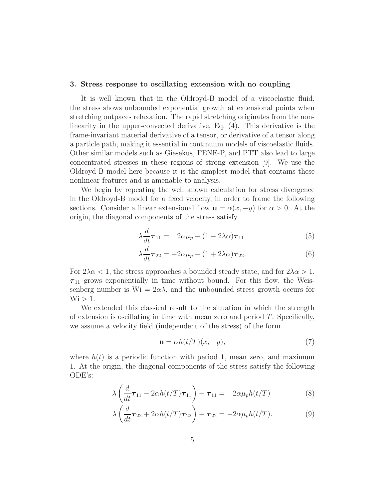#### 3. Stress response to oscillating extension with no coupling

It is well known that in the Oldroyd-B model of a viscoelastic fluid, the stress shows unbounded exponential growth at extensional points when stretching outpaces relaxation. The rapid stretching originates from the nonlinearity in the upper-convected derivative, Eq. (4). This derivative is the frame-invariant material derivative of a tensor, or derivative of a tensor along a particle path, making it essential in continuum models of viscoelastic fluids. Other similar models such as Giesekus, FENE-P, and PTT also lead to large concentrated stresses in these regions of strong extension [9]. We use the Oldroyd-B model here because it is the simplest model that contains these nonlinear features and is amenable to analysis.

We begin by repeating the well known calculation for stress divergence in the Oldroyd-B model for a fixed velocity, in order to frame the following sections. Consider a linear extensional flow  $\mathbf{u} = \alpha(x, -y)$  for  $\alpha > 0$ . At the origin, the diagonal components of the stress satisfy

$$
\lambda \frac{d}{dt} \boldsymbol{\tau}_{11} = 2\alpha \mu_p - (1 - 2\lambda \alpha) \boldsymbol{\tau}_{11} \tag{5}
$$

$$
\lambda \frac{d}{dt} \boldsymbol{\tau}_{22} = -2\alpha \mu_p - (1 + 2\lambda \alpha) \boldsymbol{\tau}_{22}.
$$
 (6)

For  $2\lambda \alpha < 1$ , the stress approaches a bounded steady state, and for  $2\lambda \alpha > 1$ ,  $\tau_{11}$  grows exponentially in time without bound. For this flow, the Weissenberg number is  $Wi = 2\alpha\lambda$ , and the unbounded stress growth occurs for  $Wi > 1.$ 

We extended this classical result to the situation in which the strength of extension is oscillating in time with mean zero and period  $T$ . Specifically, we assume a velocity field (independent of the stress) of the form

$$
\mathbf{u} = \alpha h(t/T)(x, -y),\tag{7}
$$

where  $h(t)$  is a periodic function with period 1, mean zero, and maximum 1. At the origin, the diagonal components of the stress satisfy the following ODE's:

$$
\lambda \left( \frac{d}{dt} \boldsymbol{\tau}_{11} - 2\alpha h(t/T) \boldsymbol{\tau}_{11} \right) + \boldsymbol{\tau}_{11} = 2\alpha \mu_p h(t/T) \tag{8}
$$

$$
\lambda \left( \frac{d}{dt} \boldsymbol{\tau}_{22} + 2 \alpha h(t/T) \boldsymbol{\tau}_{22} \right) + \boldsymbol{\tau}_{22} = -2 \alpha \mu_p h(t/T). \tag{9}
$$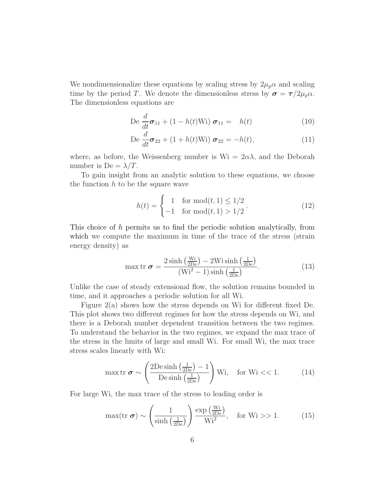We nondimensionalize these equations by scaling stress by  $2\mu_p \alpha$  and scaling time by the period T. We denote the dimensionless stress by  $\sigma = \tau/2\mu_p\alpha$ . The dimensionless equations are

$$
\operatorname{De}\frac{d}{dt}\boldsymbol{\sigma}_{11} + (1 - h(t)\operatorname{Wi})\ \boldsymbol{\sigma}_{11} = h(t) \tag{10}
$$

$$
\operatorname{De}\frac{d}{dt}\boldsymbol{\sigma}_{22} + (1+h(t)\operatorname{Wi})\ \boldsymbol{\sigma}_{22} = -h(t),\tag{11}
$$

where, as before, the Weissenberg number is  $W_i = 2\alpha\lambda$ , and the Deborah number is De  $=\lambda/T$ .

To gain insight from an analytic solution to these equations, we choose the function  $h$  to be the square wave

$$
h(t) = \begin{cases} 1 & \text{for } \text{mod}(t, 1) \le 1/2 \\ -1 & \text{for } \text{mod}(t, 1) > 1/2 \end{cases}.
$$
 (12)

This choice of h permits us to find the periodic solution analytically, from which we compute the maximum in time of the trace of the stress (strain energy density) as

$$
\max \text{tr } \boldsymbol{\sigma} = \frac{2 \sinh\left(\frac{\text{Wi}}{2\text{De}}\right) - 2\text{Wi}\sinh\left(\frac{1}{2\text{De}}\right)}{\left(\text{Wi}^2 - 1\right) \sinh\left(\frac{1}{2\text{De}}\right)}.
$$
\n(13)

Unlike the case of steady extensional flow, the solution remains bounded in time, and it approaches a periodic solution for all Wi.

Figure 2(a) shows how the stress depends on Wi for different fixed De. This plot shows two different regimes for how the stress depends on Wi, and there is a Deborah number dependent transition between the two regimes. To understand the behavior in the two regimes, we expand the max trace of the stress in the limits of large and small Wi. For small Wi, the max trace stress scales linearly with Wi:

$$
\max \text{tr } \boldsymbol{\sigma} \sim \left( \frac{2 \text{De sinh}\left(\frac{1}{2 \text{De}}\right) - 1}{\text{De sinh}\left(\frac{1}{2 \text{De}}\right)} \right) \text{Wi}, \quad \text{for Wi} << 1. \tag{14}
$$

For large Wi, the max trace of the stress to leading order is

$$
\max(\text{tr }\boldsymbol{\sigma}) \sim \left(\frac{1}{\sinh\left(\frac{1}{2De}\right)}\right) \frac{\exp\left(\frac{Wi}{2De}\right)}{Wi^2}, \quad \text{for Wi} > 1. \tag{15}
$$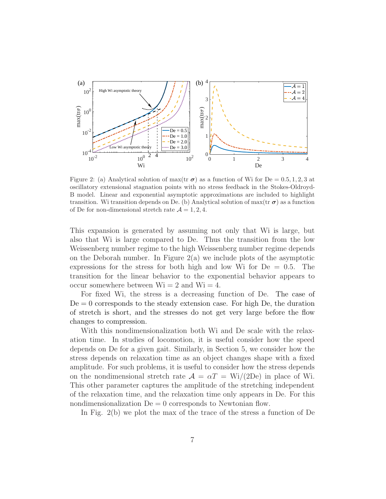

Figure 2: (a) Analytical solution of max(tr  $\sigma$ ) as a function of Wi for De = 0.5, 1, 2, 3 at oscillatory extensional stagnation points with no stress feedback in the Stokes-Oldroyd-B model. Linear and exponential asymptotic approximations are included to highlight transition. Wi transition depends on De. (b) Analytical solution of max(tr  $\sigma$ ) as a function of De for non-dimensional stretch rate  $\mathcal{A} = 1, 2, 4$ .

This expansion is generated by assuming not only that Wi is large, but also that Wi is large compared to De. Thus the transition from the low Weissenberg number regime to the high Weissenberg number regime depends on the Deborah number. In Figure 2(a) we include plots of the asymptotic expressions for the stress for both high and low Wi for  $De = 0.5$ . The transition for the linear behavior to the exponential behavior appears to occur somewhere between  $Wi = 2$  and  $Wi = 4$ .

For fixed Wi, the stress is a decreasing function of De. The case of  $De = 0$  corresponds to the steady extension case. For high De, the duration of stretch is short, and the stresses do not get very large before the flow changes to compression.

With this nondimensionalization both Wi and De scale with the relaxation time. In studies of locomotion, it is useful consider how the speed depends on De for a given gait. Similarly, in Section 5, we consider how the stress depends on relaxation time as an object changes shape with a fixed amplitude. For such problems, it is useful to consider how the stress depends on the nondimensional stretch rate  $\mathcal{A} = \alpha T = \text{Wi}/(2\text{De})$  in place of Wi. This other parameter captures the amplitude of the stretching independent of the relaxation time, and the relaxation time only appears in De. For this nondimensionalization  $De = 0$  corresponds to Newtonian flow.

In Fig. 2(b) we plot the max of the trace of the stress a function of De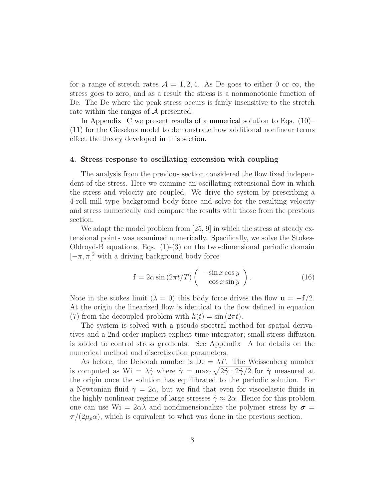for a range of stretch rates  $\mathcal{A} = 1, 2, 4$ . As De goes to either 0 or  $\infty$ , the stress goes to zero, and as a result the stress is a nonmonotonic function of De. The De where the peak stress occurs is fairly insensitive to the stretch rate within the ranges of A presented.

In Appendix C we present results of a numerical solution to Eqs. (10)– (11) for the Giesekus model to demonstrate how additional nonlinear terms effect the theory developed in this section.

# 4. Stress response to oscillating extension with coupling

The analysis from the previous section considered the flow fixed independent of the stress. Here we examine an oscillating extensional flow in which the stress and velocity are coupled. We drive the system by prescribing a 4-roll mill type background body force and solve for the resulting velocity and stress numerically and compare the results with those from the previous section.

We adapt the model problem from [25, 9] in which the stress at steady extensional points was examined numerically. Specifically, we solve the Stokes-Oldroyd-B equations, Eqs. (1)-(3) on the two-dimensional periodic domain  $[-\pi, \pi]^2$  with a driving background body force

$$
\mathbf{f} = 2\alpha \sin\left(2\pi t/T\right) \left( \begin{array}{c} -\sin x \cos y \\ \cos x \sin y \end{array} \right). \tag{16}
$$

Note in the stokes limit ( $\lambda = 0$ ) this body force drives the flow  $\mathbf{u} = -\mathbf{f}/2$ . At the origin the linearized flow is identical to the flow defined in equation (7) from the decoupled problem with  $h(t) = \sin(2\pi t)$ .

The system is solved with a pseudo-spectral method for spatial derivatives and a 2nd order implicit-explicit time integrator; small stress diffusion is added to control stress gradients. See Appendix A for details on the numerical method and discretization parameters.

As before, the Deborah number is  $De = \lambda T$ . The Weissenberg number is computed as  $Wi = \lambda \dot{\gamma}$  where  $\dot{\gamma} = \max_t \sqrt{2\dot{\gamma} : 2\dot{\gamma}/2}$  for  $\dot{\gamma}$  measured at the origin once the solution has equilibrated to the periodic solution. For a Newtonian fluid  $\dot{\gamma} = 2\alpha$ , but we find that even for viscoelastic fluids in the highly nonlinear regime of large stresses  $\dot{\gamma} \approx 2\alpha$ . Hence for this problem one can use  $\mathrm{Wi} = 2\alpha\lambda$  and nondimensionalize the polymer stress by  $\sigma =$  $\tau/(2\mu_p\alpha)$ , which is equivalent to what was done in the previous section.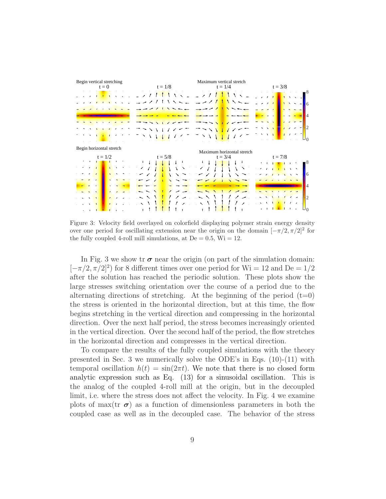

Figure 3: Velocity field overlayed on colorfield displaying polymer strain energy density over one period for oscillating extension near the origin on the domain  $[-\pi/2, \pi/2]^2$  for the fully coupled 4-roll mill simulations, at  $De = 0.5$ ,  $Wi = 12$ .

In Fig. 3 we show tr  $\sigma$  near the origin (on part of the simulation domain:  $[-\pi/2, \pi/2]^2$  for 8 different times over one period for Wi = 12 and De = 1/2 after the solution has reached the periodic solution. These plots show the large stresses switching orientation over the course of a period due to the alternating directions of stretching. At the beginning of the period  $(t=0)$ the stress is oriented in the horizontal direction, but at this time, the flow begins stretching in the vertical direction and compressing in the horizontal direction. Over the next half period, the stress becomes increasingly oriented in the vertical direction. Over the second half of the period, the flow stretches in the horizontal direction and compresses in the vertical direction.

To compare the results of the fully coupled simulations with the theory presented in Sec. 3 we numerically solve the ODE's in Eqs.  $(10)-(11)$  with temporal oscillation  $h(t) = \sin(2\pi t)$ . We note that there is no closed form analytic expression such as Eq. (13) for a sinusoidal oscillation. This is the analog of the coupled 4-roll mill at the origin, but in the decoupled limit, i.e. where the stress does not affect the velocity. In Fig. 4 we examine plots of max(tr  $\sigma$ ) as a function of dimensionless parameters in both the coupled case as well as in the decoupled case. The behavior of the stress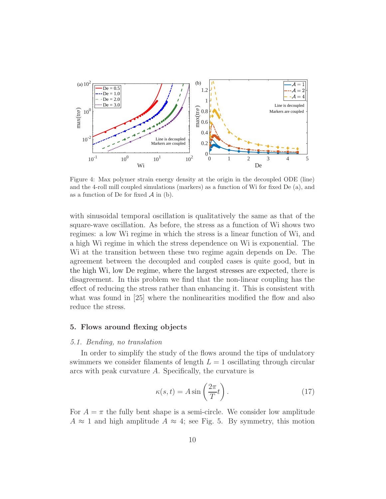

Figure 4: Max polymer strain energy density at the origin in the decoupled ODE (line) and the 4-roll mill coupled simulations (markers) as a function of Wi for fixed De (a), and as a function of De for fixed  $A$  in (b).

with sinusoidal temporal oscillation is qualitatively the same as that of the square-wave oscillation. As before, the stress as a function of Wi shows two regimes: a low Wi regime in which the stress is a linear function of Wi, and a high Wi regime in which the stress dependence on Wi is exponential. The Wi at the transition between these two regime again depends on De. The agreement between the decoupled and coupled cases is quite good, but in the high Wi, low De regime, where the largest stresses are expected, there is disagreement. In this problem we find that the non-linear coupling has the effect of reducing the stress rather than enhancing it. This is consistent with what was found in [25] where the nonlinearities modified the flow and also reduce the stress.

## 5. Flows around flexing objects

#### 5.1. Bending, no translation

In order to simplify the study of the flows around the tips of undulatory swimmers we consider filaments of length  $L = 1$  oscillating through circular arcs with peak curvature A. Specifically, the curvature is

$$
\kappa(s,t) = A \sin\left(\frac{2\pi}{T}t\right). \tag{17}
$$

For  $A = \pi$  the fully bent shape is a semi-circle. We consider low amplitude  $A \approx 1$  and high amplitude  $A \approx 4$ ; see Fig. 5. By symmetry, this motion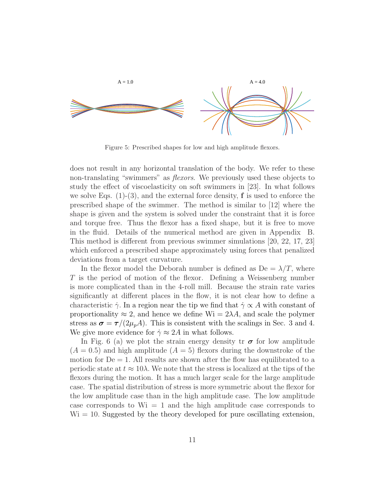

Figure 5: Prescribed shapes for low and high amplitude flexors.

does not result in any horizontal translation of the body. We refer to these non-translating "swimmers" as *flexors*. We previously used these objects to study the effect of viscoelasticity on soft swimmers in [23]. In what follows we solve Eqs.  $(1)-(3)$ , and the external force density, **f** is used to enforce the prescribed shape of the swimmer. The method is similar to [12] where the shape is given and the system is solved under the constraint that it is force and torque free. Thus the flexor has a fixed shape, but it is free to move in the fluid. Details of the numerical method are given in Appendix B. This method is different from previous swimmer simulations [20, 22, 17, 23] which enforced a prescribed shape approximately using forces that penalized deviations from a target curvature.

In the flexor model the Deborah number is defined as  $De = \lambda/T$ , where T is the period of motion of the flexor. Defining a Weissenberg number is more complicated than in the 4-roll mill. Because the strain rate varies significantly at different places in the flow, it is not clear how to define a characteristic  $\dot{\gamma}$ . In a region near the tip we find that  $\dot{\gamma} \propto A$  with constant of proportionality  $\approx 2$ , and hence we define Wi =  $2\lambda A$ , and scale the polymer stress as  $\sigma = \tau/(2\mu_p A)$ . This is consistent with the scalings in Sec. 3 and 4. We give more evidence for  $\dot{\gamma} \approx 2A$  in what follows.

In Fig. 6 (a) we plot the strain energy density tr  $\sigma$  for low amplitude  $(A = 0.5)$  and high amplitude  $(A = 5)$  flexors during the downstroke of the motion for  $De = 1$ . All results are shown after the flow has equilibrated to a periodic state at  $t \approx 10\lambda$ . We note that the stress is localized at the tips of the flexors during the motion. It has a much larger scale for the large amplitude case. The spatial distribution of stress is more symmetric about the flexor for the low amplitude case than in the high amplitude case. The low amplitude case corresponds to  $Wi = 1$  and the high amplitude case corresponds to  $Wi = 10$ . Suggested by the theory developed for pure oscillating extension,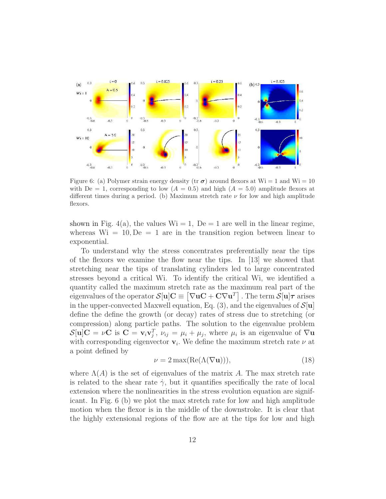

Figure 6: (a) Polymer strain energy density (tr  $\sigma$ ) around flexors at Wi = 1 and Wi = 10 with De = 1, corresponding to low  $(A = 0.5)$  and high  $(A = 5.0)$  amplitude flexors at different times during a period. (b) Maximum stretch rate  $\nu$  for low and high amplitude flexors.

shown in Fig. 4(a), the values  $Wi = 1$ ,  $De = 1$  are well in the linear regime, whereas  $Wi = 10, De = 1$  are in the transition region between linear to exponential.

To understand why the stress concentrates preferentially near the tips of the flexors we examine the flow near the tips. In [13] we showed that stretching near the tips of translating cylinders led to large concentrated stresses beyond a critical Wi. To identify the critical Wi, we identified a quantity called the maximum stretch rate as the maximum real part of the eigenvalues of the operator  $\mathcal{S}[\mathbf{u}]\mathbf{C} \equiv \left[\nabla \mathbf{u}\mathbf{C} + \mathbf{C}\nabla \mathbf{u}^T\right]$  . The term  $\mathcal{S}[\mathbf{u}]\boldsymbol{\tau}$  arises in the upper-convected Maxwell equation, Eq. (3), and the eigenvalues of  $\mathcal{S}[u]$ define the define the growth (or decay) rates of stress due to stretching (or compression) along particle paths. The solution to the eigenvalue problem  $\mathcal{S}[\mathbf{u}]\mathbf{C} = \nu \mathbf{C}$  is  $\mathbf{C} = \mathbf{v}_i \mathbf{v}_j^T$ ,  $\nu_{ij} = \mu_i + \mu_j$ , where  $\mu_i$  is an eigenvalue of  $\nabla \mathbf{u}$ with corresponding eigenvector  $\mathbf{v}_i$ . We define the maximum stretch rate  $\nu$  at a point defined by

$$
\nu = 2 \max(\text{Re}(\Lambda(\nabla \mathbf{u}))),\tag{18}
$$

where  $\Lambda(A)$  is the set of eigenvalues of the matrix A. The max stretch rate is related to the shear rate  $\dot{\gamma}$ , but it quantifies specifically the rate of local extension where the nonlinearities in the stress evolution equation are significant. In Fig. 6 (b) we plot the max stretch rate for low and high amplitude motion when the flexor is in the middle of the downstroke. It is clear that the highly extensional regions of the flow are at the tips for low and high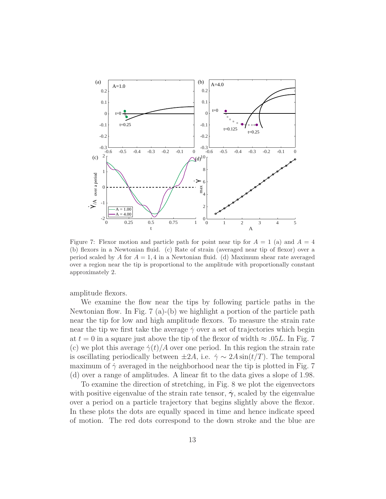

Figure 7: Flexor motion and particle path for point near tip for  $A = 1$  (a) and  $A = 4$ (b) flexors in a Newtonian fluid. (c) Rate of strain (averaged near tip of flexor) over a period scaled by A for  $A = 1, 4$  in a Newtonian fluid. (d) Maximum shear rate averaged over a region near the tip is proportional to the amplitude with proportionally constant approximately 2.

amplitude flexors.

We examine the flow near the tips by following particle paths in the Newtonian flow. In Fig. 7 (a)-(b) we highlight a portion of the particle path near the tip for low and high amplitude flexors. To measure the strain rate near the tip we first take the average  $\dot{\gamma}$  over a set of trajectories which begin at  $t = 0$  in a square just above the tip of the flexor of width  $\approx .05L$ . In Fig. 7 (c) we plot this average  $\dot{\gamma}(t)/A$  over one period. In this region the strain rate is oscillating periodically between  $\pm 2A$ , i.e.  $\dot{\gamma} \sim 2A \sin(t/T)$ . The temporal maximum of  $\dot{\gamma}$  averaged in the neighborhood near the tip is plotted in Fig. 7 (d) over a range of amplitudes. A linear fit to the data gives a slope of 1.98.

To examine the direction of stretching, in Fig. 8 we plot the eigenvectors with positive eigenvalue of the strain rate tensor,  $\dot{\gamma}$ , scaled by the eigenvalue over a period on a particle trajectory that begins slightly above the flexor. In these plots the dots are equally spaced in time and hence indicate speed of motion. The red dots correspond to the down stroke and the blue are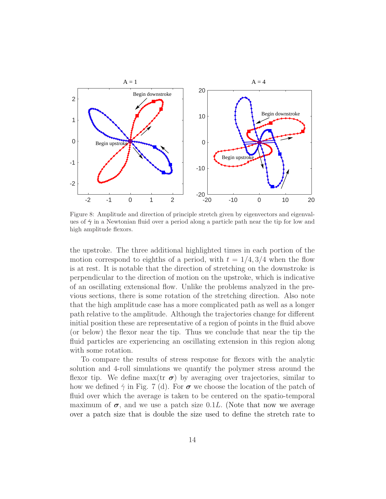

Figure 8: Amplitude and direction of principle stretch given by eigenvectors and eigenvalues of  $\dot{\gamma}$  in a Newtonian fluid over a period along a particle path near the tip for low and high amplitude flexors.

the upstroke. The three additional highlighted times in each portion of the motion correspond to eighths of a period, with  $t = 1/4, 3/4$  when the flow is at rest. It is notable that the direction of stretching on the downstroke is perpendicular to the direction of motion on the upstroke, which is indicative of an oscillating extensional flow. Unlike the problems analyzed in the previous sections, there is some rotation of the stretching direction. Also note that the high amplitude case has a more complicated path as well as a longer path relative to the amplitude. Although the trajectories change for different initial position these are representative of a region of points in the fluid above (or below) the flexor near the tip. Thus we conclude that near the tip the fluid particles are experiencing an oscillating extension in this region along with some rotation.

To compare the results of stress response for flexors with the analytic solution and 4-roll simulations we quantify the polymer stress around the flexor tip. We define max(tr  $\sigma$ ) by averaging over trajectories, similar to how we defined  $\dot{\gamma}$  in Fig. 7 (d). For  $\sigma$  we choose the location of the patch of fluid over which the average is taken to be centered on the spatio-temporal maximum of  $\sigma$ , and we use a patch size 0.1L. (Note that now we average over a patch size that is double the size used to define the stretch rate to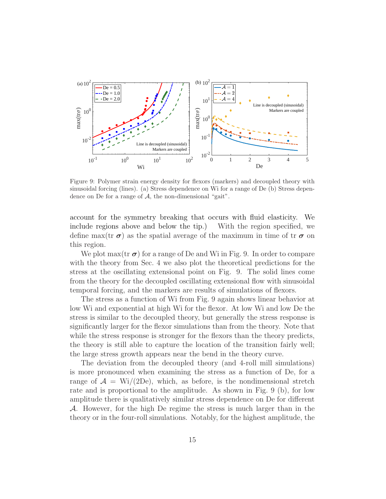

Figure 9: Polymer strain energy density for flexors (markers) and decoupled theory with sinusoidal forcing (lines). (a) Stress dependence on Wi for a range of De (b) Stress dependence on De for a range of  $A$ , the non-dimensional "gait".

account for the symmetry breaking that occurs with fluid elasticity. We include regions above and below the tip.) With the region specified, we define max(tr  $\sigma$ ) as the spatial average of the maximum in time of tr  $\sigma$  on this region.

We plot  $\max(\text{tr }\sigma)$  for a range of De and Wi in Fig. 9. In order to compare with the theory from Sec. 4 we also plot the theoretical predictions for the stress at the oscillating extensional point on Fig. 9. The solid lines come from the theory for the decoupled oscillating extensional flow with sinusoidal temporal forcing, and the markers are results of simulations of flexors.

The stress as a function of Wi from Fig. 9 again shows linear behavior at low Wi and exponential at high Wi for the flexor. At low Wi and low De the stress is similar to the decoupled theory, but generally the stress response is significantly larger for the flexor simulations than from the theory. Note that while the stress response is stronger for the flexors than the theory predicts, the theory is still able to capture the location of the transition fairly well; the large stress growth appears near the bend in the theory curve.

The deviation from the decoupled theory (and 4-roll mill simulations) is more pronounced when examining the stress as a function of De, for a range of  $\mathcal{A} = \text{Wi}/(2\text{De})$ , which, as before, is the nondimensional stretch rate and is proportional to the amplitude. As shown in Fig. 9 (b), for low amplitude there is qualitatively similar stress dependence on De for different A. However, for the high De regime the stress is much larger than in the theory or in the four-roll simulations. Notably, for the highest amplitude, the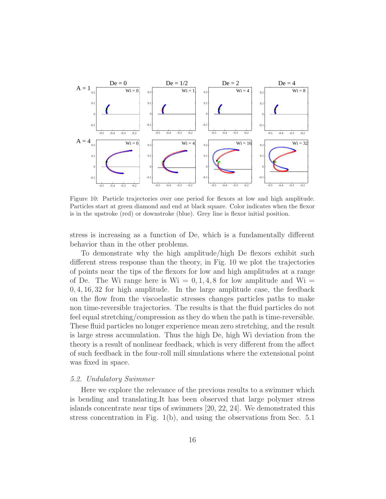

Figure 10: Particle trajectories over one period for flexors at low and high amplitude. Particles start at green diamond and end at black square. Color indicates when the flexor is in the upstroke (red) or downstroke (blue). Grey line is flexor initial position.

stress is increasing as a function of De, which is a fundamentally different behavior than in the other problems.

To demonstrate why the high amplitude/high De flexors exhibit such different stress response than the theory, in Fig. 10 we plot the trajectories of points near the tips of the flexors for low and high amplitudes at a range of De. The Wi range here is  $Wi = 0, 1, 4, 8$  for low amplitude and  $Wi =$ 0, 4, 16, 32 for high amplitude. In the large amplitude case, the feedback on the flow from the viscoelastic stresses changes particles paths to make non time-reversible trajectories. The results is that the fluid particles do not feel equal stretching/compression as they do when the path is time-reversible. These fluid particles no longer experience mean zero stretching, and the result is large stress accumulation. Thus the high De, high Wi deviation from the theory is a result of nonlinear feedback, which is very different from the affect of such feedback in the four-roll mill simulations where the extensional point was fixed in space.

## 5.2. Undulatory Swimmer

Here we explore the relevance of the previous results to a swimmer which is bending and translating.It has been observed that large polymer stress islands concentrate near tips of swimmers [20, 22, 24]. We demonstrated this stress concentration in Fig. 1(b), and using the observations from Sec. 5.1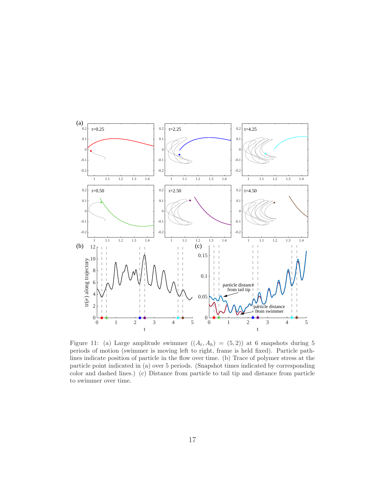

Figure 11: (a) Large amplitude swimmer  $((A_t, A_h) = (5, 2))$  at 6 snapshots during 5 periods of motion (swimmer is moving left to right, frame is held fixed). Particle pathlines indicate position of particle in the flow over time. (b) Trace of polymer stress at the particle point indicated in (a) over 5 periods. (Snapshot times indicated by corresponding color and dashed lines.) (c) Distance from particle to tail tip and distance from particle to swimmer over time.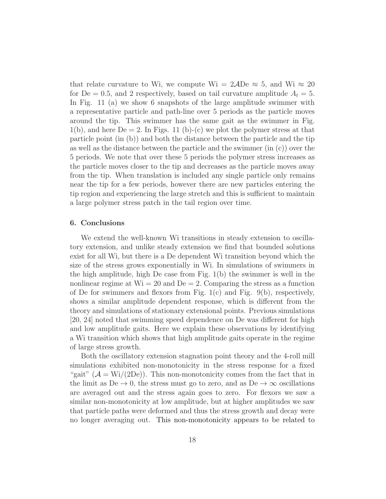that relate curvature to Wi, we compute Wi =  $2\text{ADe} \approx 5$ , and Wi  $\approx 20$ for De = 0.5, and 2 respectively, based on tail curvature amplitude  $A_t = 5$ . In Fig. 11 (a) we show 6 snapshots of the large amplitude swimmer with a representative particle and path-line over 5 periods as the particle moves around the tip. This swimmer has the same gait as the swimmer in Fig.  $1(b)$ , and here  $De = 2$ . In Figs. 11 (b)-(c) we plot the polymer stress at that particle point (in (b)) and both the distance between the particle and the tip as well as the distance between the particle and the swimmer (in (c)) over the 5 periods. We note that over these 5 periods the polymer stress increases as the particle moves closer to the tip and decreases as the particle moves away from the tip. When translation is included any single particle only remains near the tip for a few periods, however there are new particles entering the tip region and experiencing the large stretch and this is sufficient to maintain a large polymer stress patch in the tail region over time.

## 6. Conclusions

We extend the well-known Wi transitions in steady extension to oscillatory extension, and unlike steady extension we find that bounded solutions exist for all Wi, but there is a De dependent Wi transition beyond which the size of the stress grows exponentially in Wi. In simulations of swimmers in the high amplitude, high De case from Fig. 1(b) the swimmer is well in the nonlinear regime at  $Wi = 20$  and  $De = 2$ . Comparing the stress as a function of De for swimmers and flexors from Fig.  $1(c)$  and Fig. 9(b), respectively, shows a similar amplitude dependent response, which is different from the theory and simulations of stationary extensional points. Previous simulations [20, 24] noted that swimming speed dependence on De was different for high and low amplitude gaits. Here we explain these observations by identifying a Wi transition which shows that high amplitude gaits operate in the regime of large stress growth.

Both the oscillatory extension stagnation point theory and the 4-roll mill simulations exhibited non-monotonicity in the stress response for a fixed "gait"  $(\mathcal{A} = \text{Wi}/(2\text{De}))$ . This non-monotonicity comes from the fact that in the limit as De  $\rightarrow$  0, the stress must go to zero, and as De  $\rightarrow \infty$  oscillations are averaged out and the stress again goes to zero. For flexors we saw a similar non-monotonicity at low amplitude, but at higher amplitudes we saw that particle paths were deformed and thus the stress growth and decay were no longer averaging out. This non-monotonicity appears to be related to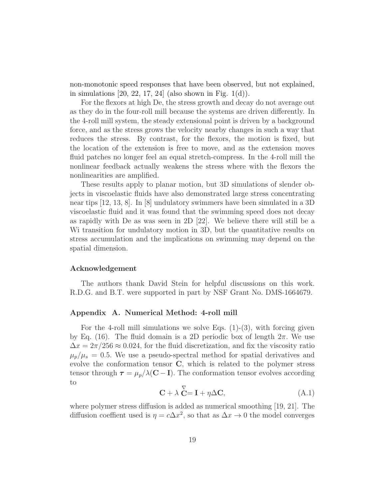non-monotonic speed responses that have been observed, but not explained, in simulations  $[20, 22, 17, 24]$  (also shown in Fig. 1(d)).

For the flexors at high De, the stress growth and decay do not average out as they do in the four-roll mill because the systems are driven differently. In the 4-roll mill system, the steady extensional point is driven by a background force, and as the stress grows the velocity nearby changes in such a way that reduces the stress. By contrast, for the flexors, the motion is fixed, but the location of the extension is free to move, and as the extension moves fluid patches no longer feel an equal stretch-compress. In the 4-roll mill the nonlinear feedback actually weakens the stress where with the flexors the nonlinearities are amplified.

These results apply to planar motion, but 3D simulations of slender objects in viscoelastic fluids have also demonstrated large stress concentrating near tips [12, 13, 8]. In [8] undulatory swimmers have been simulated in a 3D viscoelastic fluid and it was found that the swimming speed does not decay as rapidly with De as was seen in 2D [22]. We believe there will still be a Wi transition for undulatory motion in 3D, but the quantitative results on stress accumulation and the implications on swimming may depend on the spatial dimension.

### Acknowledgement

The authors thank David Stein for helpful discussions on this work. R.D.G. and B.T. were supported in part by NSF Grant No. DMS-1664679.

### Appendix A. Numerical Method: 4-roll mill

For the 4-roll mill simulations we solve Eqs.  $(1)-(3)$ , with forcing given by Eq. (16). The fluid domain is a 2D periodic box of length  $2\pi$ . We use  $\Delta x = 2\pi/256 \approx 0.024$ , for the fluid discretization, and fix the viscosity ratio  $\mu_p/\mu_s = 0.5$ . We use a pseudo-spectral method for spatial derivatives and evolve the conformation tensor C, which is related to the polymer stress tensor through  $\tau = \mu_p / \lambda (C - I)$ . The conformation tensor evolves according to

$$
\mathbf{C} + \lambda \stackrel{\nabla}{\mathbf{C}} = \mathbf{I} + \eta \Delta \mathbf{C}, \tag{A.1}
$$

where polymer stress diffusion is added as numerical smoothing [19, 21]. The diffusion coeffient used is  $\eta = c\Delta x^2$ , so that as  $\Delta x \to 0$  the model converges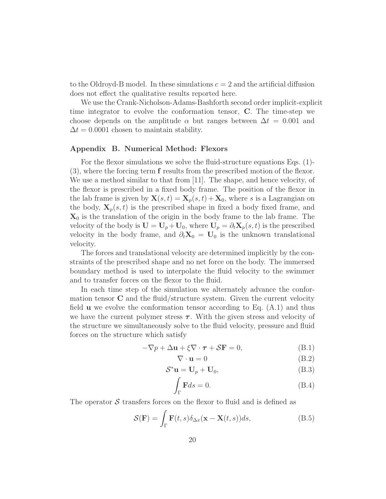to the Oldroyd-B model. In these simulations  $c = 2$  and the artificial diffusion does not effect the qualitative results reported here.

We use the Crank-Nicholson-Adams-Bashforth second order implicit-explicit time integrator to evolve the conformation tensor, C. The time-step we choose depends on the amplitude  $\alpha$  but ranges between  $\Delta t = 0.001$  and  $\Delta t = 0.0001$  chosen to maintain stability.

### Appendix B. Numerical Method: Flexors

For the flexor simulations we solve the fluid-structure equations Eqs. (1)- (3), where the forcing term f results from the prescribed motion of the flexor. We use a method similar to that from [11]. The shape, and hence velocity, of the flexor is prescribed in a fixed body frame. The position of the flexor in the lab frame is given by  $\mathbf{X}(s,t) = \mathbf{X}_p(s,t) + \mathbf{X}_0$ , where s is a Lagrangian on the body,  $X_p(s, t)$  is the prescribed shape in fixed a body fixed frame, and  $\mathbf{X}_0$  is the translation of the origin in the body frame to the lab frame. The velocity of the body is  $\mathbf{U} = \mathbf{U}_p + \mathbf{U}_0$ , where  $\mathbf{U}_p = \partial_t \mathbf{X}_p(s, t)$  is the prescribed velocity in the body frame, and  $\partial_t \mathbf{X}_0 = \mathbf{U}_0$  is the unknown translational velocity.

The forces and translational velocity are determined implicitly by the constraints of the prescribed shape and no net force on the body. The immersed boundary method is used to interpolate the fluid velocity to the swimmer and to transfer forces on the flexor to the fluid.

In each time step of the simulation we alternately advance the conformation tensor  $C$  and the fluid/structure system. Given the current velocity field **u** we evolve the conformation tensor according to Eq.  $(A.1)$  and thus we have the current polymer stress  $\tau$ . With the given stress and velocity of the structure we simultaneously solve to the fluid velocity, pressure and fluid forces on the structure which satisfy

$$
-\nabla p + \Delta \mathbf{u} + \xi \nabla \cdot \boldsymbol{\tau} + \mathcal{S} \mathbf{F} = 0,
$$
 (B.1)

$$
\nabla \cdot \mathbf{u} = 0 \tag{B.2}
$$

$$
\mathcal{S}^* \mathbf{u} = \mathbf{U}_p + \mathbf{U}_0,\tag{B.3}
$$

$$
\int_{\Gamma} \mathbf{F} ds = 0. \tag{B.4}
$$

The operator  $S$  transfers forces on the flexor to fluid and is defined as

$$
\mathcal{S}(\mathbf{F}) = \int_{\Gamma} \mathbf{F}(t, s) \delta_{\Delta x}(\mathbf{x} - \mathbf{X}(t, s)) ds,
$$
 (B.5)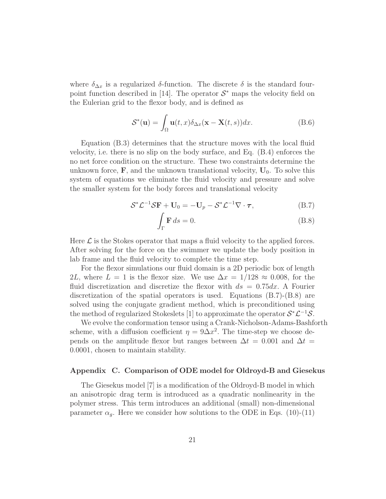where  $\delta_{\Delta x}$  is a regularized  $\delta$ -function. The discrete  $\delta$  is the standard fourpoint function described in [14]. The operator  $S^*$  maps the velocity field on the Eulerian grid to the flexor body, and is defined as

$$
\mathcal{S}^*(\mathbf{u}) = \int_{\Omega} \mathbf{u}(t, x) \delta_{\Delta x}(\mathbf{x} - \mathbf{X}(t, s)) dx.
$$
 (B.6)

Equation (B.3) determines that the structure moves with the local fluid velocity, i.e. there is no slip on the body surface, and Eq. (B.4) enforces the no net force condition on the structure. These two constraints determine the unknown force,  $\mathbf{F}$ , and the unknown translational velocity,  $\mathbf{U}_0$ . To solve this system of equations we eliminate the fluid velocity and pressure and solve the smaller system for the body forces and translational velocity

$$
S^*\mathcal{L}^{-1}S\mathbf{F} + \mathbf{U}_0 = -\mathbf{U}_p - S^*\mathcal{L}^{-1}\nabla \cdot \boldsymbol{\tau},
$$
 (B.7)

$$
\int_{\Gamma} \mathbf{F} \, ds = 0. \tag{B.8}
$$

Here  $\mathcal L$  is the Stokes operator that maps a fluid velocity to the applied forces. After solving for the force on the swimmer we update the body position in lab frame and the fluid velocity to complete the time step.

For the flexor simulations our fluid domain is a 2D periodic box of length 2L, where  $L = 1$  is the flexor size. We use  $\Delta x = 1/128 \approx 0.008$ , for the fluid discretization and discretize the flexor with  $ds = 0.75 dx$ . A Fourier discretization of the spatial operators is used. Equations  $(B.7)-(B.8)$  are solved using the conjugate gradient method, which is preconditioned using the method of regularized Stokeslets [1] to approximate the operator  $S^* \mathcal{L}^{-1} S$ .

We evolve the conformation tensor using a Crank-Nicholson-Adams-Bashforth scheme, with a diffusion coefficient  $\eta = 9\Delta x^2$ . The time-step we choose depends on the amplitude flexor but ranges between  $\Delta t = 0.001$  and  $\Delta t =$ 0.0001, chosen to maintain stability.

## Appendix C. Comparison of ODE model for Oldroyd-B and Giesekus

The Giesekus model [7] is a modification of the Oldroyd-B model in which an anisotropic drag term is introduced as a quadratic nonlinearity in the polymer stress. This term introduces an additional (small) non-dimensional parameter  $\alpha_q$ . Here we consider how solutions to the ODE in Eqs. (10)-(11)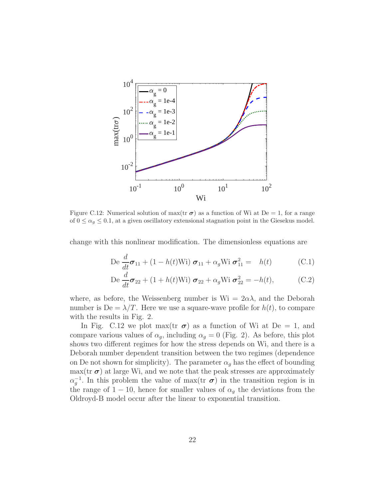

Figure C.12: Numerical solution of max(tr  $\sigma$ ) as a function of Wi at De = 1, for a range of  $0 \leq \alpha_g \leq 0.1$ , at a given oscillatory extensional stagnation point in the Giesekus model.

change with this nonlinear modification. The dimensionless equations are

$$
\operatorname{De}\frac{d}{dt}\boldsymbol{\sigma}_{11} + (1 - h(t)\operatorname{Wi})\ \boldsymbol{\sigma}_{11} + \alpha_g \operatorname{Wi}\ \boldsymbol{\sigma}_{11}^2 = h(t) \tag{C.1}
$$

$$
\operatorname{De}\frac{d}{dt}\boldsymbol{\sigma}_{22} + (1+h(t)\operatorname{Wi})\ \boldsymbol{\sigma}_{22} + \alpha_g \operatorname{Wi}\ \boldsymbol{\sigma}_{22}^2 = -h(t),\tag{C.2}
$$

where, as before, the Weissenberg number is  $W_i = 2\alpha\lambda$ , and the Deborah number is  $De = \lambda/T$ . Here we use a square-wave profile for  $h(t)$ , to compare with the results in Fig. 2.

In Fig. C.12 we plot max(tr  $\sigma$ ) as a function of Wi at De = 1, and compare various values of  $\alpha_g$ , including  $\alpha_g = 0$  (Fig. 2). As before, this plot shows two different regimes for how the stress depends on Wi, and there is a Deborah number dependent transition between the two regimes (dependence on De not shown for simplicity). The parameter  $\alpha_g$  has the effect of bounding  $max(tr \boldsymbol{\sigma})$  at large Wi, and we note that the peak stresses are approximately  $\alpha_g^{-1}$ . In this problem the value of max(tr  $\sigma$ ) in the transition region is in the range of 1 − 10, hence for smaller values of  $\alpha_q$  the deviations from the Oldroyd-B model occur after the linear to exponential transition.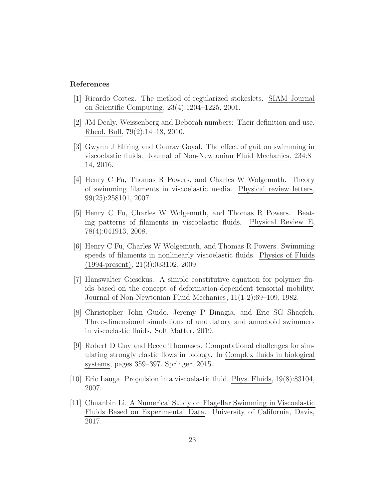## References

- [1] Ricardo Cortez. The method of regularized stokeslets. SIAM Journal on Scientific Computing, 23(4):1204–1225, 2001.
- [2] JM Dealy. Weissenberg and Deborah numbers: Their definition and use. Rheol. Bull, 79(2):14–18, 2010.
- [3] Gwynn J Elfring and Gaurav Goyal. The effect of gait on swimming in viscoelastic fluids. Journal of Non-Newtonian Fluid Mechanics, 234:8– 14, 2016.
- [4] Henry C Fu, Thomas R Powers, and Charles W Wolgemuth. Theory of swimming filaments in viscoelastic media. Physical review letters, 99(25):258101, 2007.
- [5] Henry C Fu, Charles W Wolgemuth, and Thomas R Powers. Beating patterns of filaments in viscoelastic fluids. Physical Review E, 78(4):041913, 2008.
- [6] Henry C Fu, Charles W Wolgemuth, and Thomas R Powers. Swimming speeds of filaments in nonlinearly viscoelastic fluids. Physics of Fluids (1994-present), 21(3):033102, 2009.
- [7] Hanswalter Giesekus. A simple constitutive equation for polymer fluids based on the concept of deformation-dependent tensorial mobility. Journal of Non-Newtonian Fluid Mechanics, 11(1-2):69–109, 1982.
- [8] Christopher John Guido, Jeremy P Binagia, and Eric SG Shaqfeh. Three-dimensional simulations of undulatory and amoeboid swimmers in viscoelastic fluids. Soft Matter, 2019.
- [9] Robert D Guy and Becca Thomases. Computational challenges for simulating strongly elastic flows in biology. In Complex fluids in biological systems, pages 359–397. Springer, 2015.
- [10] Eric Lauga. Propulsion in a viscoelastic fluid. Phys. Fluids, 19(8):83104, 2007.
- [11] Chuanbin Li. A Numerical Study on Flagellar Swimming in Viscoelastic Fluids Based on Experimental Data. University of California, Davis, 2017.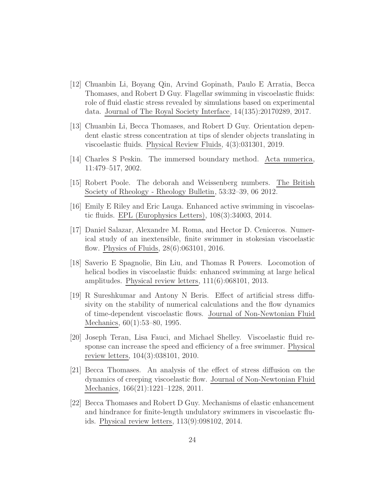- [12] Chuanbin Li, Boyang Qin, Arvind Gopinath, Paulo E Arratia, Becca Thomases, and Robert D Guy. Flagellar swimming in viscoelastic fluids: role of fluid elastic stress revealed by simulations based on experimental data. Journal of The Royal Society Interface, 14(135):20170289, 2017.
- [13] Chuanbin Li, Becca Thomases, and Robert D Guy. Orientation dependent elastic stress concentration at tips of slender objects translating in viscoelastic fluids. Physical Review Fluids, 4(3):031301, 2019.
- [14] Charles S Peskin. The immersed boundary method. Acta numerica, 11:479–517, 2002.
- [15] Robert Poole. The deborah and Weissenberg numbers. The British Society of Rheology - Rheology Bulletin, 53:32–39, 06 2012.
- [16] Emily E Riley and Eric Lauga. Enhanced active swimming in viscoelastic fluids. EPL (Europhysics Letters), 108(3):34003, 2014.
- [17] Daniel Salazar, Alexandre M. Roma, and Hector D. Ceniceros. Numerical study of an inextensible, finite swimmer in stokesian viscoelastic flow. Physics of Fluids, 28(6):063101, 2016.
- [18] Saverio E Spagnolie, Bin Liu, and Thomas R Powers. Locomotion of helical bodies in viscoelastic fluids: enhanced swimming at large helical amplitudes. Physical review letters, 111(6):068101, 2013.
- [19] R Sureshkumar and Antony N Beris. Effect of artificial stress diffusivity on the stability of numerical calculations and the flow dynamics of time-dependent viscoelastic flows. Journal of Non-Newtonian Fluid Mechanics, 60(1):53–80, 1995.
- [20] Joseph Teran, Lisa Fauci, and Michael Shelley. Viscoelastic fluid response can increase the speed and efficiency of a free swimmer. Physical review letters, 104(3):038101, 2010.
- [21] Becca Thomases. An analysis of the effect of stress diffusion on the dynamics of creeping viscoelastic flow. Journal of Non-Newtonian Fluid Mechanics, 166(21):1221–1228, 2011.
- [22] Becca Thomases and Robert D Guy. Mechanisms of elastic enhancement and hindrance for finite-length undulatory swimmers in viscoelastic fluids. Physical review letters, 113(9):098102, 2014.